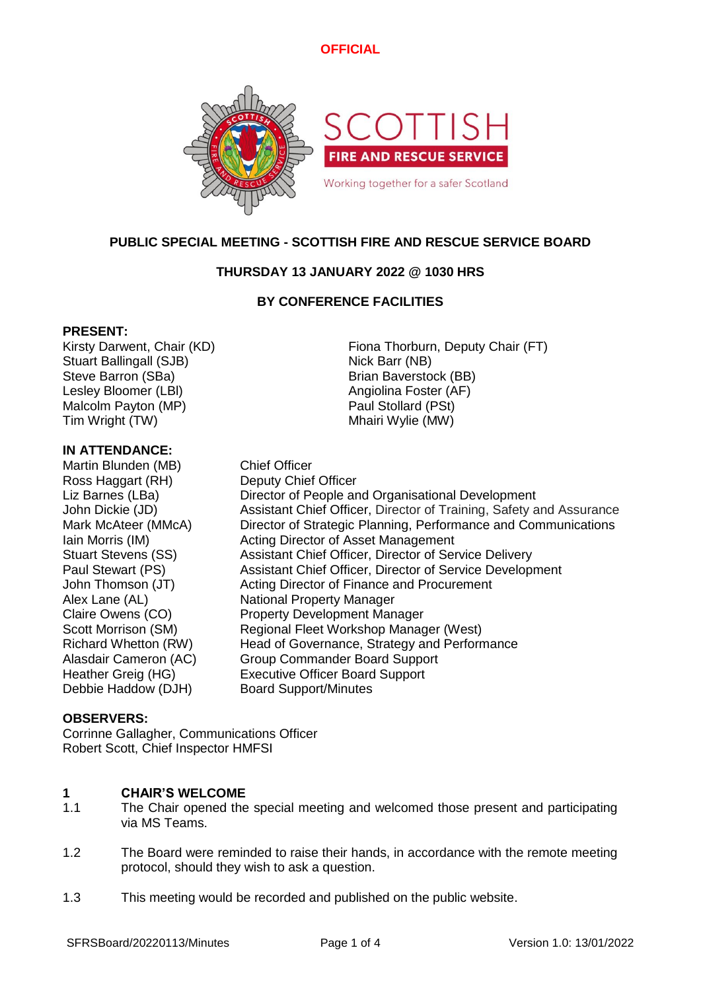# **OFFICIAL**



# **PUBLIC SPECIAL MEETING - SCOTTISH FIRE AND RESCUE SERVICE BOARD**

# **THURSDAY 13 JANUARY 2022 @ 1030 HRS**

# **BY CONFERENCE FACILITIES**

### **PRESENT:**

Stuart Ballingall (SJB) Nick Barr (NB) Steve Barron (SBa) Brian Baverstock (BB) Lesley Bloomer (LBI) Angiolina Foster (AF) Malcolm Payton (MP) **Paul Stollard (PSt)** Tim Wright (TW) Tim Wright (TW)

Kirsty Darwent, Chair (KD) Fiona Thorburn, Deputy Chair (FT)

### **IN ATTENDANCE:**

Martin Blunden (MB) Chief Officer Ross Haggart (RH) Deputy Chief Officer

Liz Barnes (LBa) **Director of People and Organisational Development** John Dickie (JD) Assistant Chief Officer, Director of Training, Safety and Assurance Mark McAteer (MMcA) Director of Strategic Planning, Performance and Communications Iain Morris (IM) Acting Director of Asset Management Stuart Stevens (SS) Assistant Chief Officer, Director of Service Delivery Paul Stewart (PS) Assistant Chief Officer, Director of Service Development John Thomson (JT) Acting Director of Finance and Procurement Alex Lane (AL) National Property Manager Claire Owens (CO) Property Development Manager Scott Morrison (SM) Regional Fleet Workshop Manager (West) Richard Whetton (RW) Head of Governance, Strategy and Performance Alasdair Cameron (AC) Group Commander Board Support Heather Greig (HG) Executive Officer Board Support Debbie Haddow (DJH) Board Support/Minutes

### **OBSERVERS:**

Corrinne Gallagher, Communications Officer Robert Scott, Chief Inspector HMFSI

#### **1 CHAIR'S WELCOME**

- 1.1 The Chair opened the special meeting and welcomed those present and participating via MS Teams.
- 1.2 The Board were reminded to raise their hands, in accordance with the remote meeting protocol, should they wish to ask a question.
- 1.3 This meeting would be recorded and published on the public website.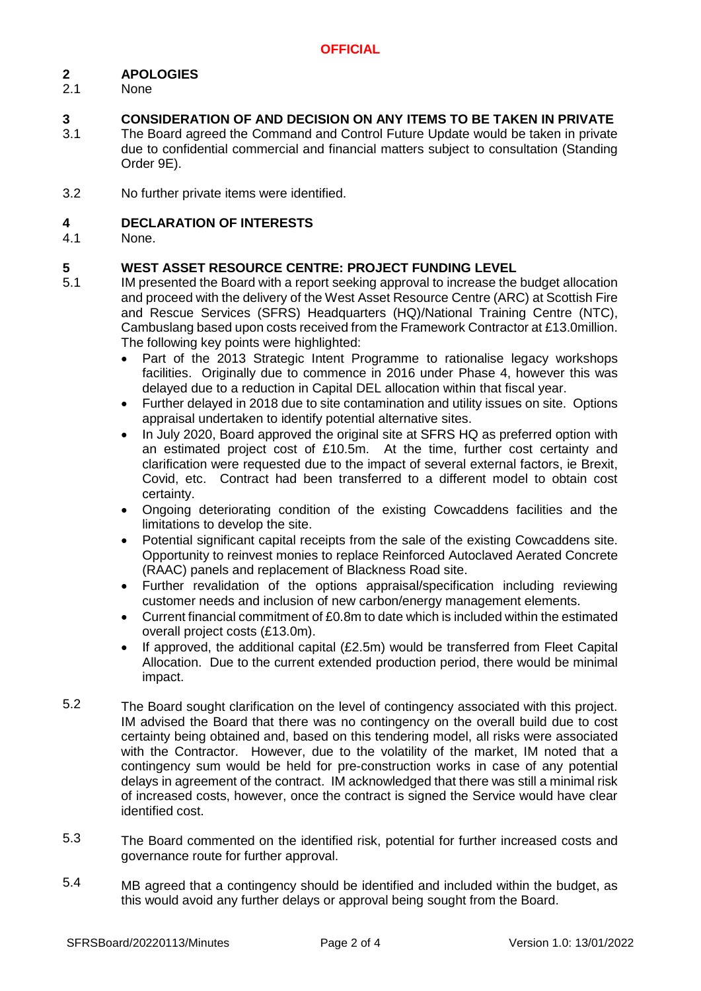#### **2 APOLOGIES**

2.1 None

#### **3 CONSIDERATION OF AND DECISION ON ANY ITEMS TO BE TAKEN IN PRIVATE**

- 3.1 The Board agreed the Command and Control Future Update would be taken in private due to confidential commercial and financial matters subject to consultation (Standing Order 9E).
- 3.2 No further private items were identified.

#### **4 DECLARATION OF INTERESTS**

4.1 None.

#### **5 WEST ASSET RESOURCE CENTRE: PROJECT FUNDING LEVEL**

- 5.1 IM presented the Board with a report seeking approval to increase the budget allocation and proceed with the delivery of the West Asset Resource Centre (ARC) at Scottish Fire and Rescue Services (SFRS) Headquarters (HQ)/National Training Centre (NTC), Cambuslang based upon costs received from the Framework Contractor at £13.0million. The following key points were highlighted:
	- Part of the 2013 Strategic Intent Programme to rationalise legacy workshops facilities. Originally due to commence in 2016 under Phase 4, however this was delayed due to a reduction in Capital DEL allocation within that fiscal year.
	- Further delayed in 2018 due to site contamination and utility issues on site. Options appraisal undertaken to identify potential alternative sites.
	- In July 2020, Board approved the original site at SFRS HQ as preferred option with an estimated project cost of £10.5m. At the time, further cost certainty and clarification were requested due to the impact of several external factors, ie Brexit, Covid, etc. Contract had been transferred to a different model to obtain cost certainty.
	- Ongoing deteriorating condition of the existing Cowcaddens facilities and the limitations to develop the site.
	- Potential significant capital receipts from the sale of the existing Cowcaddens site. Opportunity to reinvest monies to replace Reinforced Autoclaved Aerated Concrete (RAAC) panels and replacement of Blackness Road site.
	- Further revalidation of the options appraisal/specification including reviewing customer needs and inclusion of new carbon/energy management elements.
	- Current financial commitment of £0.8m to date which is included within the estimated overall project costs (£13.0m).
	- If approved, the additional capital (£2.5m) would be transferred from Fleet Capital Allocation. Due to the current extended production period, there would be minimal impact.
- 5.2 The Board sought clarification on the level of contingency associated with this project. IM advised the Board that there was no contingency on the overall build due to cost certainty being obtained and, based on this tendering model, all risks were associated with the Contractor. However, due to the volatility of the market, IM noted that a contingency sum would be held for pre-construction works in case of any potential delays in agreement of the contract. IM acknowledged that there was still a minimal risk of increased costs, however, once the contract is signed the Service would have clear identified cost.
- 5.3 The Board commented on the identified risk, potential for further increased costs and governance route for further approval.
- 5.4 MB agreed that a contingency should be identified and included within the budget, as this would avoid any further delays or approval being sought from the Board.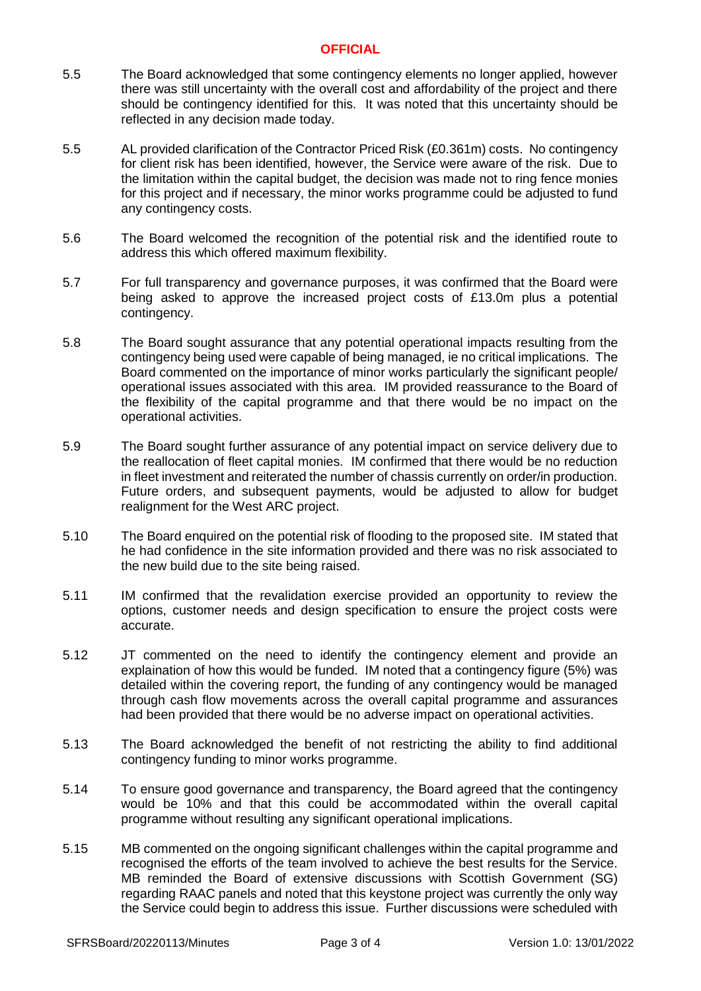### **OFFICIAL**

- 5.5 The Board acknowledged that some contingency elements no longer applied, however there was still uncertainty with the overall cost and affordability of the project and there should be contingency identified for this. It was noted that this uncertainty should be reflected in any decision made today.
- 5.5 AL provided clarification of the Contractor Priced Risk (£0.361m) costs. No contingency for client risk has been identified, however, the Service were aware of the risk. Due to the limitation within the capital budget, the decision was made not to ring fence monies for this project and if necessary, the minor works programme could be adjusted to fund any contingency costs.
- 5.6 The Board welcomed the recognition of the potential risk and the identified route to address this which offered maximum flexibility.
- 5.7 For full transparency and governance purposes, it was confirmed that the Board were being asked to approve the increased project costs of £13.0m plus a potential contingency.
- 5.8 The Board sought assurance that any potential operational impacts resulting from the contingency being used were capable of being managed, ie no critical implications. The Board commented on the importance of minor works particularly the significant people/ operational issues associated with this area. IM provided reassurance to the Board of the flexibility of the capital programme and that there would be no impact on the operational activities.
- 5.9 The Board sought further assurance of any potential impact on service delivery due to the reallocation of fleet capital monies. IM confirmed that there would be no reduction in fleet investment and reiterated the number of chassis currently on order/in production. Future orders, and subsequent payments, would be adjusted to allow for budget realignment for the West ARC project.
- 5.10 The Board enquired on the potential risk of flooding to the proposed site. IM stated that he had confidence in the site information provided and there was no risk associated to the new build due to the site being raised.
- 5.11 IM confirmed that the revalidation exercise provided an opportunity to review the options, customer needs and design specification to ensure the project costs were accurate.
- 5.12 JT commented on the need to identify the contingency element and provide an explaination of how this would be funded. IM noted that a contingency figure (5%) was detailed within the covering report, the funding of any contingency would be managed through cash flow movements across the overall capital programme and assurances had been provided that there would be no adverse impact on operational activities.
- 5.13 The Board acknowledged the benefit of not restricting the ability to find additional contingency funding to minor works programme.
- 5.14 To ensure good governance and transparency, the Board agreed that the contingency would be 10% and that this could be accommodated within the overall capital programme without resulting any significant operational implications.
- 5.15 MB commented on the ongoing significant challenges within the capital programme and recognised the efforts of the team involved to achieve the best results for the Service. MB reminded the Board of extensive discussions with Scottish Government (SG) regarding RAAC panels and noted that this keystone project was currently the only way the Service could begin to address this issue. Further discussions were scheduled with